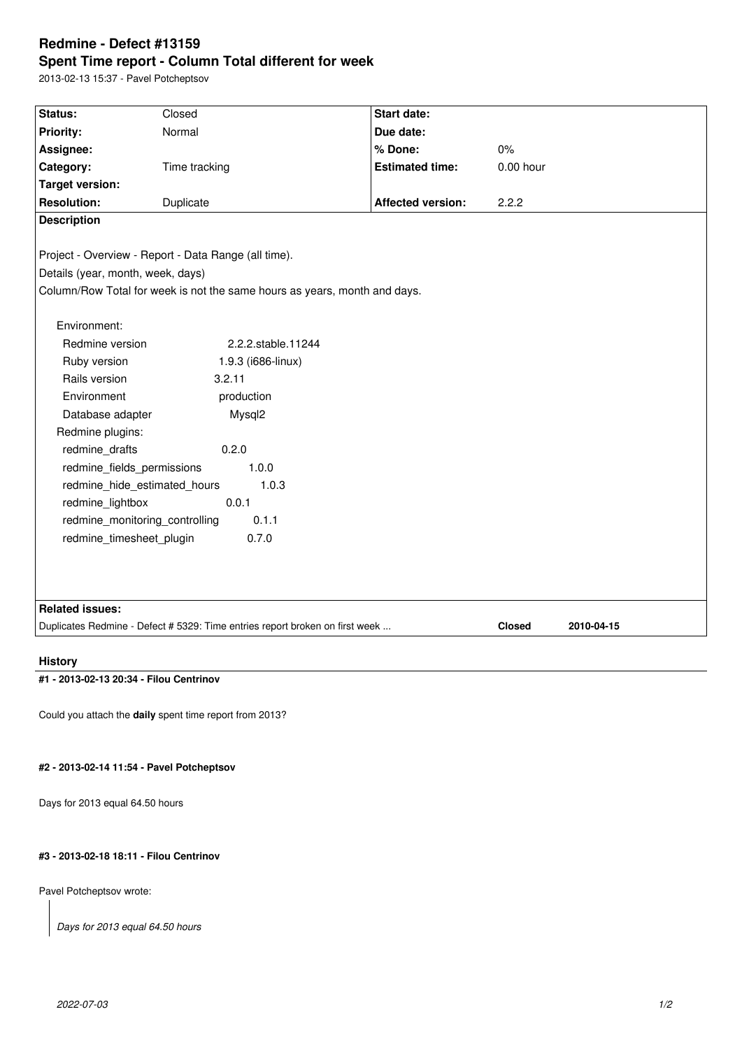# **Redmine - Defect #13159 Spent Time report - Column Total different for week**

2013-02-13 15:37 - Pavel Potcheptsov

| Status:                                                                                       | Closed             | <b>Start date:</b>       |             |            |  |  |
|-----------------------------------------------------------------------------------------------|--------------------|--------------------------|-------------|------------|--|--|
| Priority:                                                                                     | Normal             | Due date:                |             |            |  |  |
| Assignee:                                                                                     |                    | % Done:                  | 0%          |            |  |  |
| Category:                                                                                     | Time tracking      | <b>Estimated time:</b>   | $0.00$ hour |            |  |  |
| <b>Target version:</b>                                                                        |                    |                          |             |            |  |  |
| <b>Resolution:</b>                                                                            | Duplicate          | <b>Affected version:</b> | 2.2.2       |            |  |  |
| <b>Description</b>                                                                            |                    |                          |             |            |  |  |
|                                                                                               |                    |                          |             |            |  |  |
| Project - Overview - Report - Data Range (all time).                                          |                    |                          |             |            |  |  |
| Details (year, month, week, days)                                                             |                    |                          |             |            |  |  |
| Column/Row Total for week is not the same hours as years, month and days.                     |                    |                          |             |            |  |  |
|                                                                                               |                    |                          |             |            |  |  |
| Environment:                                                                                  |                    |                          |             |            |  |  |
| Redmine version                                                                               | 2.2.2.stable.11244 |                          |             |            |  |  |
| Ruby version                                                                                  | 1.9.3 (i686-linux) |                          |             |            |  |  |
| Rails version                                                                                 | 3.2.11             |                          |             |            |  |  |
| Environment                                                                                   | production         |                          |             |            |  |  |
| Database adapter                                                                              | Mysql2             |                          |             |            |  |  |
| Redmine plugins:                                                                              |                    |                          |             |            |  |  |
| redmine_drafts                                                                                | 0.2.0              |                          |             |            |  |  |
| redmine_fields_permissions<br>1.0.0                                                           |                    |                          |             |            |  |  |
| redmine_hide_estimated_hours<br>1.0.3                                                         |                    |                          |             |            |  |  |
| 0.0.1<br>redmine_lightbox                                                                     |                    |                          |             |            |  |  |
| redmine monitoring controlling<br>0.1.1                                                       |                    |                          |             |            |  |  |
| 0.7.0<br>redmine timesheet plugin                                                             |                    |                          |             |            |  |  |
|                                                                                               |                    |                          |             |            |  |  |
|                                                                                               |                    |                          |             |            |  |  |
|                                                                                               |                    |                          |             |            |  |  |
| <b>Related issues:</b>                                                                        |                    |                          |             |            |  |  |
| Duplicates Redmine - Defect # 5329: Time entries report broken on first week<br><b>Closed</b> |                    |                          |             | 2010-04-15 |  |  |
|                                                                                               |                    |                          |             |            |  |  |

# **History**

# **#1 - 2013-02-13 20:34 - Filou Centrinov**

Could you attach the **daily** spent time report from 2013?

### **#2 - 2013-02-14 11:54 - Pavel Potcheptsov**

Days for 2013 equal 64.50 hours

# **#3 - 2013-02-18 18:11 - Filou Centrinov**

Pavel Potcheptsov wrote:

*Days for 2013 equal 64.50 hours*